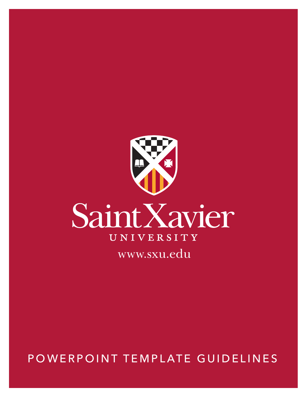

POWERPOINT TEMPLATE GUIDELINES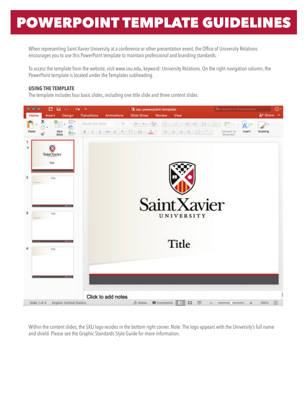When representing Saint Xavier University at a conference or other presentation event, the Office of University Relations encourages you to use this PowerPoint template to maintain professional and branding standards.

To access the template from the website, visit www.sxu.edu, keyword: University Relations. On the right navigation column, the PowerPoint template is located under the Templates subheading.

## **USING THE TEMPLATE**

The template includes four basic slides, including one title slide and three content slides.



Within the content slides, the SXU logo resides in the bottom right corner. Note: The logo appears with the University's full name and shield. Please see the Graphic Standards Style Guide for more information.